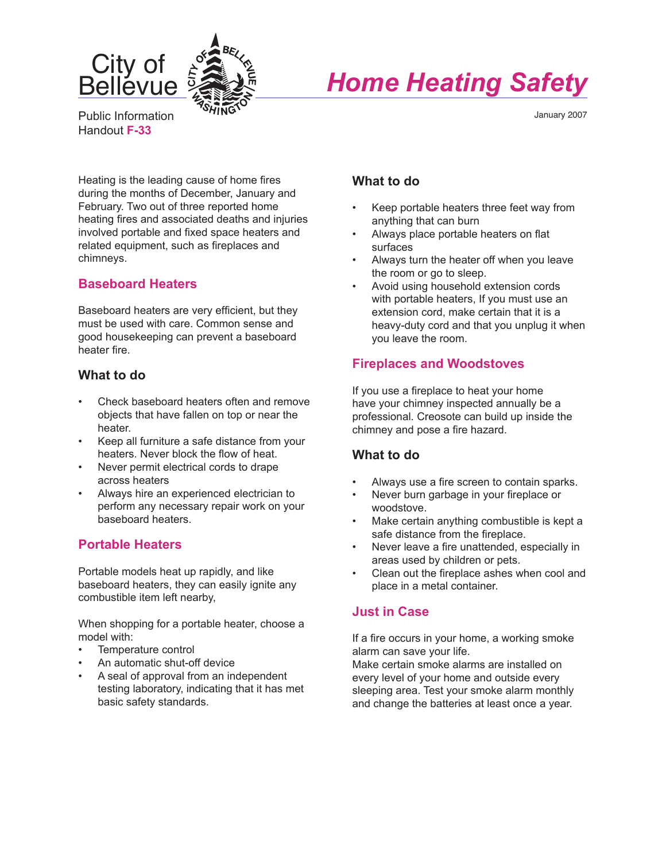

# *Home Heating Safety*

Public Information Handout **F-33**

January 2007

Heating is the leading cause of home fires during the months of December, January and February. Two out of three reported home heating fires and associated deaths and injuries involved portable and fixed space heaters and related equipment, such as fireplaces and chimneys.

## **Baseboard Heaters**

Baseboard heaters are very efficient, but they must be used with care. Common sense and good housekeeping can prevent a baseboard heater fire.

## **What to do**

- Check baseboard heaters often and remove objects that have fallen on top or near the heater.
- Keep all furniture a safe distance from your heaters. Never block the flow of heat.
- Never permit electrical cords to drape across heaters
- Always hire an experienced electrician to perform any necessary repair work on your baseboard heaters.

# **Portable Heaters**

Portable models heat up rapidly, and like baseboard heaters, they can easily ignite any combustible item left nearby,

When shopping for a portable heater, choose a model with:

- Temperature control
- An automatic shut-off device
- A seal of approval from an independent testing laboratory, indicating that it has met basic safety standards.

# **What to do**

- Keep portable heaters three feet way from anything that can burn
- Always place portable heaters on flat surfaces
- Always turn the heater off when you leave the room or go to sleep.
- Avoid using household extension cords with portable heaters, If you must use an extension cord, make certain that it is a heavy-duty cord and that you unplug it when you leave the room.

## **Fireplaces and Woodstoves**

If you use a fireplace to heat your home have your chimney inspected annually be a professional. Creosote can build up inside the chimney and pose a fire hazard.

# **What to do**

- Always use a fire screen to contain sparks.
- Never burn garbage in your fireplace or woodstove.
- Make certain anything combustible is kept a safe distance from the fireplace.
- Never leave a fire unattended, especially in areas used by children or pets.
- Clean out the fireplace ashes when cool and place in a metal container.

# **Just in Case**

If a fire occurs in your home, a working smoke alarm can save your life.

Make certain smoke alarms are installed on every level of your home and outside every sleeping area. Test your smoke alarm monthly and change the batteries at least once a year.